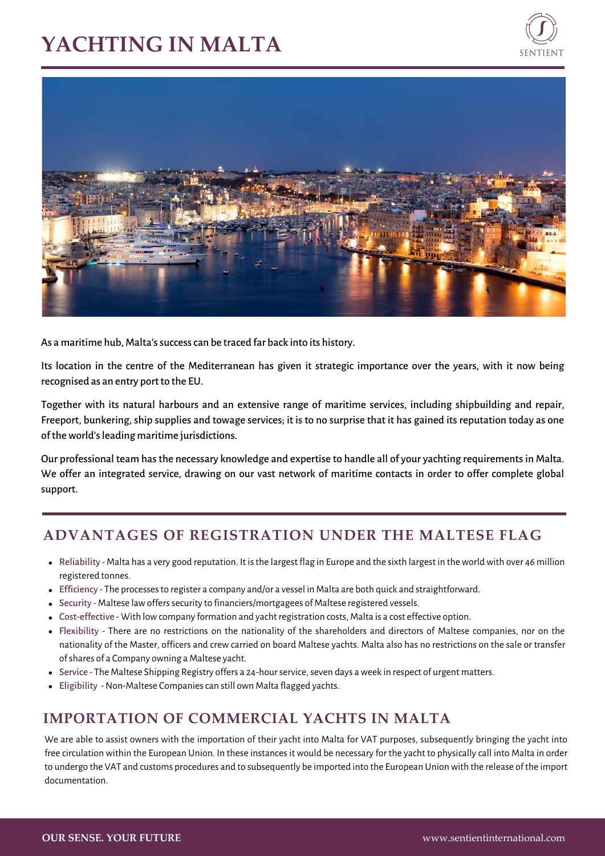# **YACHTING IN MALTA**





As a maritime hub, Malta's success can be traced far back into its history.

Its location in the centre of the Mediterranean has given it strategic importance over the years, with it now being recognised as an entry port to the EU.

Together with its natural harbours and an extensive range of maritime services, including shipbuilding and repair, Freeport, bunkering, ship supplies and towage services; it is to no surprise that it has gained its reputation today as one of the world's leading maritime jurisdictions.

Our professional team has the necessary knowledge and expertise to handle all of your yachting requirements in Malta. We offer an integrated service, drawing on our vast network of maritime contacts in order to offer complete global support.

### **ADVANTAGES OF REGISTRATION UNDER THE MALTESE FLAG**

- Reliability Malta has a very good reputation. It is the largest flag in Europe and the sixth largest in the world with over 46 million registered tonnes.
- Efficiency The processes to register a company and/or a vessel in Malta are both quick and straightforward.
- Security Maltese law offers security to financiers/mortgagees of Maltese registered vessels.
- Cost-effective With low company formation and yacht registration costs, Malta is a cost effective option.
- Flexibility There are no restrictions on the nationality of the shareholders and directors of Maltese companies, nor on the nationality of the Master, officers and crew carried on board Maltese yachts. Malta also has no restrictions on the sale or transfer of shares of a Company owning a Maltese yacht.
- Service The Maltese Shipping Registry offers a 24-hour service, seven days a week in respect of urgent matters.
- Eligibility Non-Maltese Companies can still own Malta flagged yachts.

## **IMPORTATION OF COMMERCIAL YACHTS IN MALTA**

We are able to assist owners with the importation of their yacht into Malta for VAT purposes, subsequently bringing the yacht into free circulation within the European Union. In these instances it would be necessary for the yacht to physically call into Malta in order to undergo the VAT and customs procedures and to subsequently be imported into the European Union with the release of the import documentation.